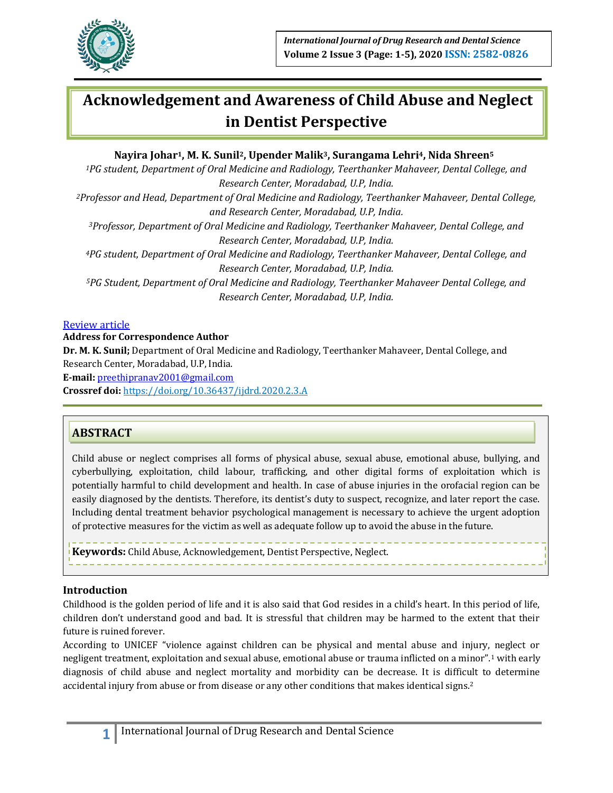

# **Acknowledgement and Awareness of Child Abuse and Neglect in Dentist Perspective**

## **Nayira Johar1, M. K. Sunil2, Upender Malik3, Surangama Lehri4, Nida Shreen<sup>5</sup>**

*<sup>1</sup>PG student, Department of Oral Medicine and Radiology, Teerthanker Mahaveer, Dental College, and Research Center, Moradabad, U.P, India.*

*<sup>2</sup>Professor and Head, Department of Oral Medicine and Radiology, Teerthanker Mahaveer, Dental College, and Research Center, Moradabad, U.P, India.*

*<sup>3</sup>Professor, Department of Oral Medicine and Radiology, Teerthanker Mahaveer, Dental College, and Research Center, Moradabad, U.P, India.*

*<sup>4</sup>PG student, Department of Oral Medicine and Radiology, Teerthanker Mahaveer, Dental College, and Research Center, Moradabad, U.P, India.*

*<sup>5</sup>PG Student, Department of Oral Medicine and Radiology, Teerthanker Mahaveer Dental College, and Research Center, Moradabad, U.P, India.*

#### Review article

**Address for Correspondence Author**

**Dr. M. K. Sunil;** Department of Oral Medicine and Radiology, Teerthanker Mahaveer, Dental College, and Research Center, Moradabad, U.P, India.

**E‑mail:** [preethipranav2001@gmail.com](mailto:preethipranav2001@gmail.com)

**Crossref doi:** https://doi.org/10.36437/ijdrd.2020.2.3.A

# **ABSTRACT**

Child abuse or neglect comprises all forms of physical abuse, sexual abuse, emotional abuse, bullying, and cyberbullying, exploitation, child labour, trafficking, and other digital forms of exploitation which is potentially harmful to child development and health. In case of abuse injuries in the orofacial region can be easily diagnosed by the dentists. Therefore, its dentist's duty to suspect, recognize, and later report the case. Including dental treatment behavior psychological management is necessary to achieve the urgent adoption of protective measures for the victim as well as adequate follow up to avoid the abuse in the future.

**Keywords:** Child Abuse, Acknowledgement, Dentist Perspective, Neglect.

## **Introduction**

Childhood is the golden period of life and it is also said that God resides in a child's heart. In this period of life, children don't understand good and bad. It is stressful that children may be harmed to the extent that their future is ruined forever.

According to UNICEF "violence against children can be physical and mental abuse and injury, neglect or negligent treatment, exploitation and sexual abuse, emotional abuse or trauma inflicted on a minor".<sup>1</sup> with early diagnosis of child abuse and neglect mortality and morbidity can be decrease. It is difficult to determine accidental injury from abuse or from disease or any other conditions that makes identical signs.2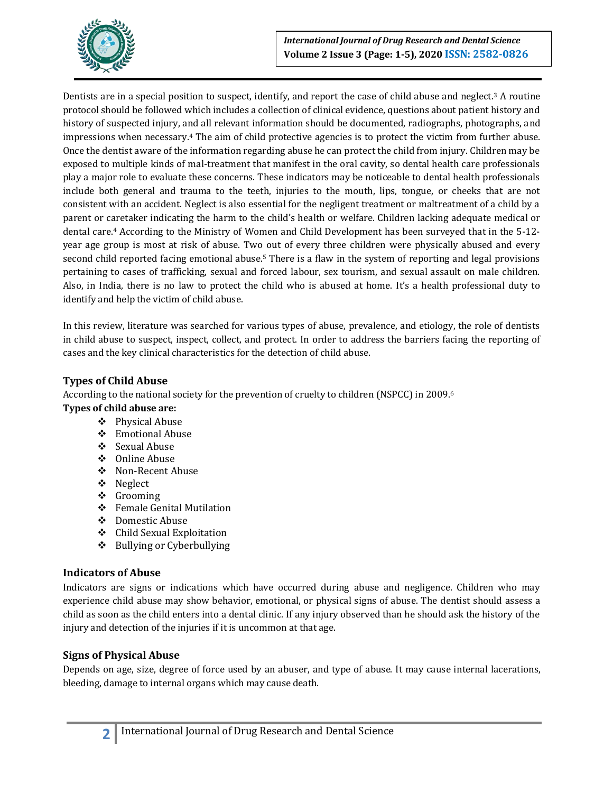

Dentists are in a special position to suspect, identify, and report the case of child abuse and neglect.<sup>3</sup> A routine protocol should be followed which includes a collection of clinical evidence, questions about patient history and history of suspected injury, and all relevant information should be documented, radiographs, photographs, and impressions when necessary.<sup>4</sup> The aim of child protective agencies is to protect the victim from further abuse. Once the dentist aware of the information regarding abuse he can protect the child from injury. Children may be exposed to multiple kinds of mal-treatment that manifest in the oral cavity, so dental health care professionals play a major role to evaluate these concerns. These indicators may be noticeable to dental health professionals include both general and trauma to the teeth, injuries to the mouth, lips, tongue, or cheeks that are not consistent with an accident. Neglect is also essential for the negligent treatment or maltreatment of a child by a parent or caretaker indicating the harm to the child's health or welfare. Children lacking adequate medical or dental care.<sup>4</sup> According to the Ministry of Women and Child Development has been surveyed that in the 5-12 year age group is most at risk of abuse. Two out of every three children were physically abused and every second child reported facing emotional abuse.<sup>5</sup> There is a flaw in the system of reporting and legal provisions pertaining to cases of trafficking, sexual and forced labour, sex tourism, and sexual assault on male children. Also, in India, there is no law to protect the child who is abused at home. It's a health professional duty to identify and help the victim of child abuse.

In this review, literature was searched for various types of abuse, prevalence, and etiology, the role of dentists in child abuse to suspect, inspect, collect, and protect. In order to address the barriers facing the reporting of cases and the key clinical characteristics for the detection of child abuse.

## **Types of Child Abuse**

According to the national society for the prevention of cruelty to children (NSPCC) in 2009.<sup>6</sup>

## **Types of child abuse are:**

- ❖ Physical Abuse
- Emotional Abuse
- ❖ Sexual Abuse
- Online Abuse
- Non-Recent Abuse
- Neglect
- ❖ Grooming
- Female Genital Mutilation
- Domestic Abuse
- Child Sexual Exploitation
- ❖ Bullying or Cyberbullying

## **Indicators of Abuse**

Indicators are signs or indications which have occurred during abuse and negligence. Children who may experience child abuse may show behavior, emotional, or physical signs of abuse. The dentist should assess a child as soon as the child enters into a dental clinic. If any injury observed than he should ask the history of the injury and detection of the injuries if it is uncommon at that age.

## **Signs of Physical Abuse**

Depends on age, size, degree of force used by an abuser, and type of abuse. It may cause internal lacerations, bleeding, damage to internal organs which may cause death.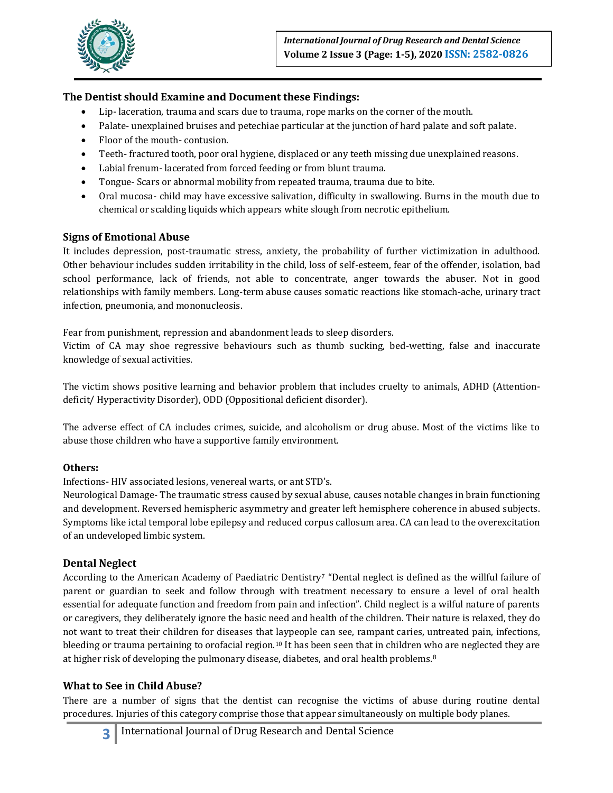

# **The Dentist should Examine and Document these Findings:**

- Lip- laceration, trauma and scars due to trauma, rope marks on the corner of the mouth.
- Palate- unexplained bruises and petechiae particular at the junction of hard palate and soft palate.
- Floor of the mouth- contusion.
- Teeth- fractured tooth, poor oral hygiene, displaced or any teeth missing due unexplained reasons.
- Labial frenum- lacerated from forced feeding or from blunt trauma.
- Tongue- Scars or abnormal mobility from repeated trauma, trauma due to bite.
- Oral mucosa- child may have excessive salivation, difficulty in swallowing. Burns in the mouth due to chemical or scalding liquids which appears white slough from necrotic epithelium.

## **Signs of Emotional Abuse**

It includes depression, post-traumatic stress, anxiety, the probability of further victimization in adulthood. Other behaviour includes sudden irritability in the child, loss of self-esteem, fear of the offender, isolation, bad school performance, lack of friends, not able to concentrate, anger towards the abuser. Not in good relationships with family members. Long-term abuse causes somatic reactions like stomach-ache, urinary tract infection, pneumonia, and mononucleosis.

Fear from punishment, repression and abandonment leads to sleep disorders.

Victim of CA may shoe regressive behaviours such as thumb sucking, bed-wetting, false and inaccurate knowledge of sexual activities.

The victim shows positive learning and behavior problem that includes cruelty to animals, ADHD (Attentiondeficit/ Hyperactivity Disorder), ODD (Oppositional deficient disorder).

The adverse effect of CA includes crimes, suicide, and alcoholism or drug abuse. Most of the victims like to abuse those children who have a supportive family environment.

## **Others:**

Infections- HIV associated lesions, venereal warts, or ant STD's.

Neurological Damage- The traumatic stress caused by sexual abuse, causes notable changes in brain functioning and development. Reversed hemispheric asymmetry and greater left hemisphere coherence in abused subjects. Symptoms like ictal temporal lobe epilepsy and reduced corpus callosum area. CA can lead to the overexcitation of an undeveloped limbic system.

## **Dental Neglect**

According to the American Academy of Paediatric Dentistry<sup>7</sup> "Dental neglect is defined as the willful failure of parent or guardian to seek and follow through with treatment necessary to ensure a level of oral health essential for adequate function and freedom from pain and infection". Child neglect is a wilful nature of parents or caregivers, they deliberately ignore the basic need and health of the children. Their nature is relaxed, they do not want to treat their children for diseases that laypeople can see, rampant caries, untreated pain, infections, bleeding or trauma pertaining to orofacial region.<sup>10</sup> It has been seen that in children who are neglected they are at higher risk of developing the pulmonary disease, diabetes, and oral health problems.<sup>8</sup>

## **What to See in Child Abuse?**

There are a number of signs that the dentist can recognise the victims of abuse during routine dental procedures. Injuries of this category comprise those that appear simultaneously on multiple body planes.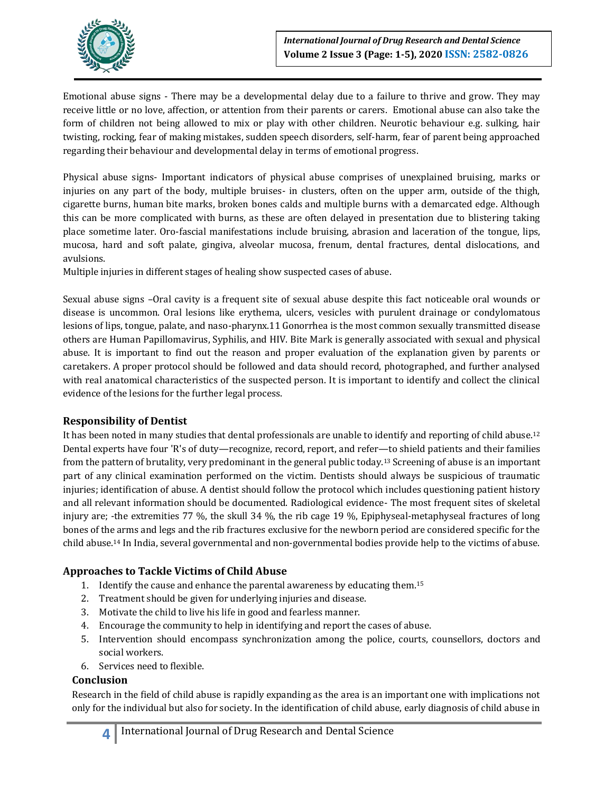

Emotional abuse signs - There may be a developmental delay due to a failure to thrive and grow. They may receive little or no love, affection, or attention from their parents or carers. Emotional abuse can also take the form of children not being allowed to mix or play with other children. Neurotic behaviour e.g. sulking, hair twisting, rocking, fear of making mistakes, sudden speech disorders, self-harm, fear of parent being approached regarding their behaviour and developmental delay in terms of emotional progress.

Physical abuse signs- Important indicators of physical abuse comprises of unexplained bruising, marks or injuries on any part of the body, multiple bruises- in clusters, often on the upper arm, outside of the thigh, cigarette burns, human bite marks, broken bones calds and multiple burns with a demarcated edge. Although this can be more complicated with burns, as these are often delayed in presentation due to blistering taking place sometime later. Oro-fascial manifestations include bruising, abrasion and laceration of the tongue, lips, mucosa, hard and soft palate, gingiva, alveolar mucosa, frenum, dental fractures, dental dislocations, and avulsions.

Multiple injuries in different stages of healing show suspected cases of abuse.

Sexual abuse signs –Oral cavity is a frequent site of sexual abuse despite this fact noticeable oral wounds or disease is uncommon. Oral lesions like erythema, ulcers, vesicles with purulent drainage or condylomatous lesions of lips, tongue, palate, and naso-pharynx.11 Gonorrhea is the most common sexually transmitted disease others are Human Papillomavirus, Syphilis, and HIV. Bite Mark is generally associated with sexual and physical abuse. It is important to find out the reason and proper evaluation of the explanation given by parents or caretakers. A proper protocol should be followed and data should record, photographed, and further analysed with real anatomical characteristics of the suspected person. It is important to identify and collect the clinical evidence of the lesions for the further legal process.

## **Responsibility of Dentist**

It has been noted in many studies that dental professionals are unable to identify and reporting of child abuse.<sup>12</sup> Dental experts have four 'R's of duty—recognize, record, report, and refer—to shield patients and their families from the pattern of brutality, very predominant in the general public today.<sup>13</sup> Screening of abuse is an important part of any clinical examination performed on the victim. Dentists should always be suspicious of traumatic injuries; identification of abuse. A dentist should follow the protocol which includes questioning patient history and all relevant information should be documented. Radiological evidence- The most frequent sites of skeletal injury are; -the extremities 77 %, the skull 34 %, the rib cage 19 %, Epiphyseal-metaphyseal fractures of long bones of the arms and legs and the rib fractures exclusive for the newborn period are considered specific for the child abuse.<sup>14</sup> In India, several governmental and non-governmental bodies provide help to the victims of abuse.

## **Approaches to Tackle Victims of Child Abuse**

- 1. Identify the cause and enhance the parental awareness by educating them.<sup>15</sup>
- 2. Treatment should be given for underlying injuries and disease.
- 3. Motivate the child to live his life in good and fearless manner.
- 4. Encourage the community to help in identifying and report the cases of abuse.
- 5. Intervention should encompass synchronization among the police, courts, counsellors, doctors and social workers.
- 6. Services need to flexible.

## **Conclusion**

Research in the field of child abuse is rapidly expanding as the area is an important one with implications not only for the individual but also for society. In the identification of child abuse, early diagnosis of child abuse in